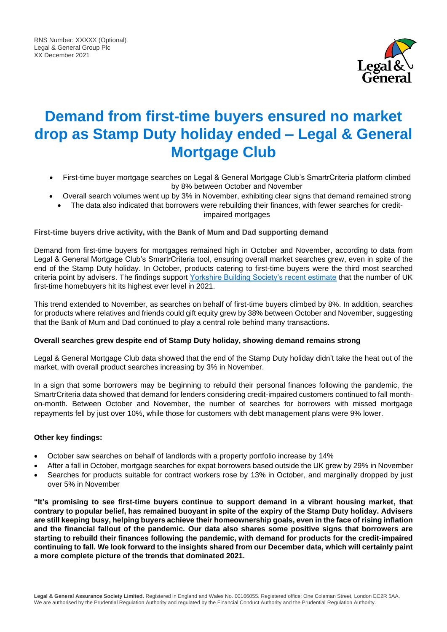

# **Demand from first-time buyers ensured no market drop as Stamp Duty holiday ended – Legal & General Mortgage Club**

- First-time buyer mortgage searches on Legal & General Mortgage Club's SmartrCriteria platform climbed by 8% between October and November
- Overall search volumes went up by 3% in November, exhibiting clear signs that demand remained strong
- The data also indicated that borrowers were rebuilding their finances, with fewer searches for creditimpaired mortgages

# **First-time buyers drive activity, with the Bank of Mum and Dad supporting demand**

Demand from first-time buyers for mortgages remained high in October and November, according to data from Legal & General Mortgage Club's SmartrCriteria tool, ensuring overall market searches grew, even in spite of the end of the Stamp Duty holiday. In October, products catering to first-time buyers were the third most searched criteria point by advisers. The findings support [Yorkshire Building Society's recent estimate](https://www.ybs.co.uk/media-centre/FTBs-hit-20-year-high/index.html) that the number of UK first-time homebuyers hit its highest ever level in 2021.

This trend extended to November, as searches on behalf of first-time buyers climbed by 8%. In addition, searches for products where relatives and friends could gift equity grew by 38% between October and November, suggesting that the Bank of Mum and Dad continued to play a central role behind many transactions.

# **Overall searches grew despite end of Stamp Duty holiday, showing demand remains strong**

Legal & General Mortgage Club data showed that the end of the Stamp Duty holiday didn't take the heat out of the market, with overall product searches increasing by 3% in November.

In a sign that some borrowers may be beginning to rebuild their personal finances following the pandemic, the SmartrCriteria data showed that demand for lenders considering credit-impaired customers continued to fall monthon-month. Between October and November, the number of searches for borrowers with missed mortgage repayments fell by just over 10%, while those for customers with debt management plans were 9% lower.

# **Other key findings:**

- October saw searches on behalf of landlords with a property portfolio increase by 14%
- After a fall in October, mortgage searches for expat borrowers based outside the UK grew by 29% in November
- Searches for products suitable for contract workers rose by 13% in October, and marginally dropped by just over 5% in November

**"It's promising to see first-time buyers continue to support demand in a vibrant housing market, that contrary to popular belief, has remained buoyant in spite of the expiry of the Stamp Duty holiday. Advisers are still keeping busy, helping buyers achieve their homeownership goals, even in the face of rising inflation and the financial fallout of the pandemic. Our data also shares some positive signs that borrowers are starting to rebuild their finances following the pandemic, with demand for products for the credit-impaired continuing to fall. We look forward to the insights shared from our December data, which will certainly paint a more complete picture of the trends that dominated 2021.**